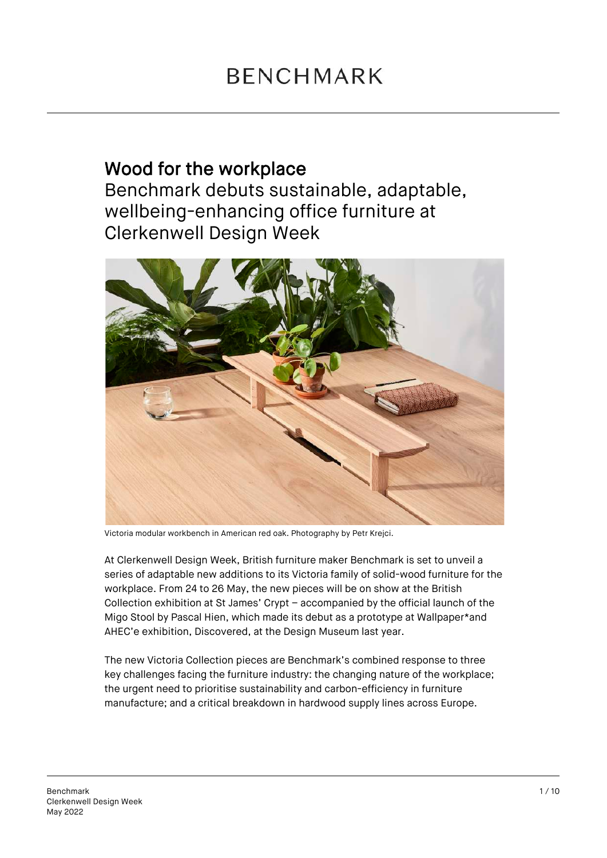## Wood for the workplace

Benchmark debuts sustainable, adaptable, wellbeing-enhancing office furniture at Clerkenwell Design Week



Victoria modular workbench in American red oak. Photography by Petr Krejci.

At Clerkenwell Design Week, British furniture maker Benchmark is set to unveil a series of adaptable new additions to its Victoria family of solid-wood furniture for the workplace. From 24 to 26 May, the new pieces will be on show at the British Collection exhibition at St James' Crypt – accompanied by the official launch of the Migo Stool by Pascal Hien, which made its debut as a prototype at Wallpaper\*and AHEC'e exhibition, Discovered, at the Design Museum last year.

The new Victoria Collection pieces are Benchmark's combined response to three key challenges facing the furniture industry: the changing nature of the workplace; the urgent need to prioritise sustainability and carbon-efficiency in furniture manufacture; and a critical breakdown in hardwood supply lines across Europe.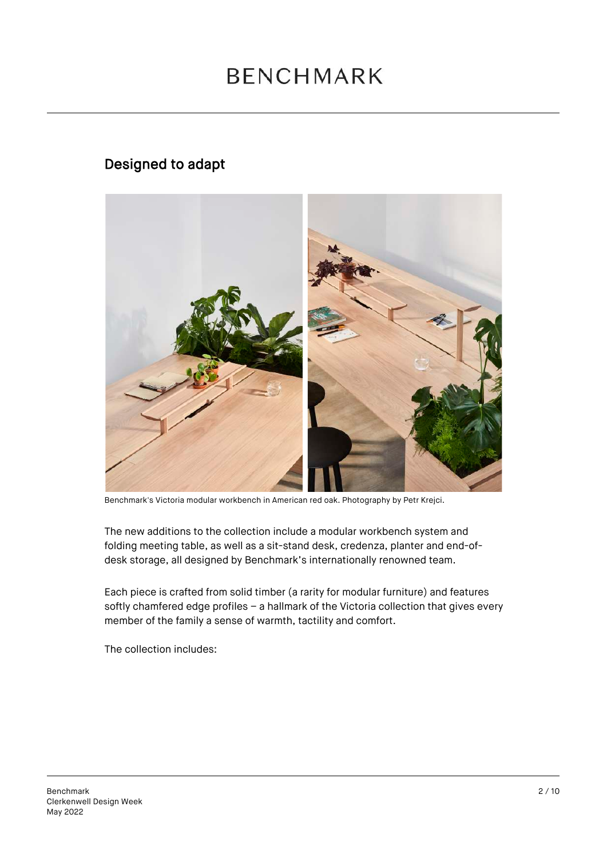## **BENCHMARK**

### Designed to adapt



Benchmark's Victoria modular workbench in American red oak. Photography by Petr Krejci.

The new additions to the collection include a modular workbench system and folding meeting table, as well as a sit-stand desk, credenza, planter and end-ofdesk storage, all designed by Benchmark's internationally renowned team.

Each piece is crafted from solid timber (a rarity for modular furniture) and features softly chamfered edge profiles – a hallmark of the Victoria collection that gives every member of the family a sense of warmth, tactility and comfort.

The collection includes: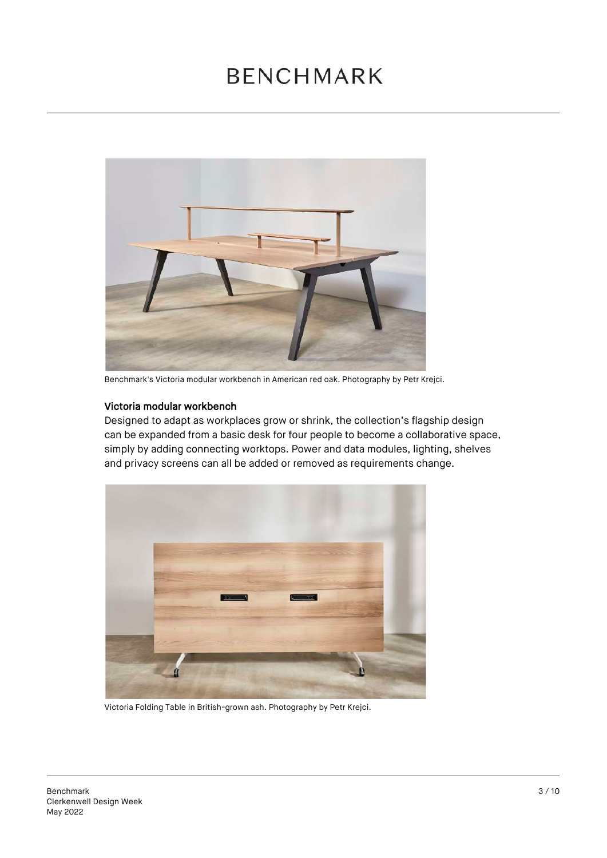## **BENCHMARK**



Benchmark's Victoria modular workbench in American red oak. Photography by Petr Krejci.

#### Victoria modular workbench

Designed to adapt as workplaces grow or shrink, the collection's flagship design can be expanded from a basic desk for four people to become a collaborative space, simply by adding connecting worktops. Power and data modules, lighting, shelves and privacy screens can all be added or removed as requirements change.



Victoria Folding Table in British-grown ash. Photography by Petr Krejci.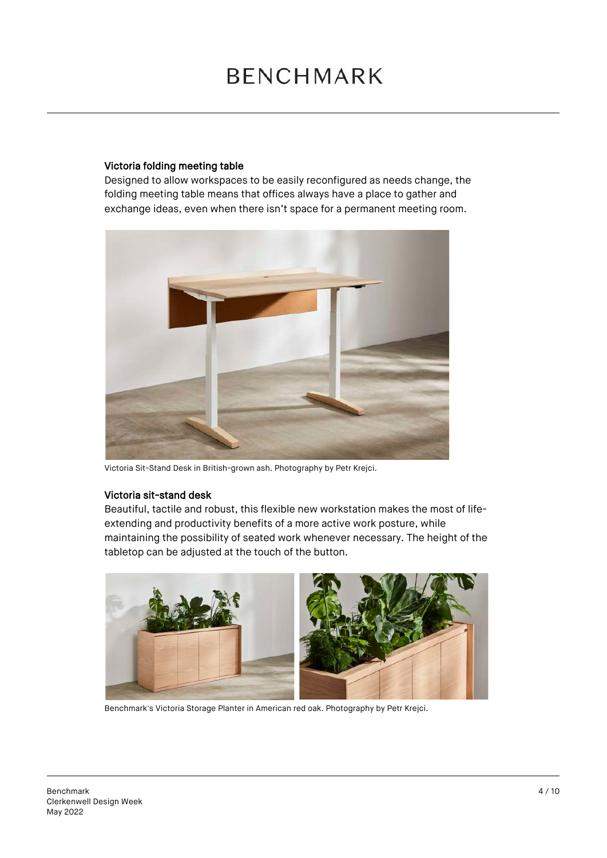#### Victoria folding meeting table

Designed to allow workspaces to be easily reconfigured as needs change, the folding meeting table means that offices always have a place to gather and exchange ideas, even when there isn't space for a permanent meeting room.



Victoria Sit-Stand Desk in British-grown ash. Photography by Petr Krejci.

#### Victoria sit-stand desk

Beautiful, tactile and robust, this flexible new workstation makes the most of lifeextending and productivity benefits of a more active work posture, while maintaining the possibility of seated work whenever necessary. The height of the tabletop can be adjusted at the touch of the button.



Benchmark's Victoria Storage Planter in American red oak. Photography by Petr Krejci.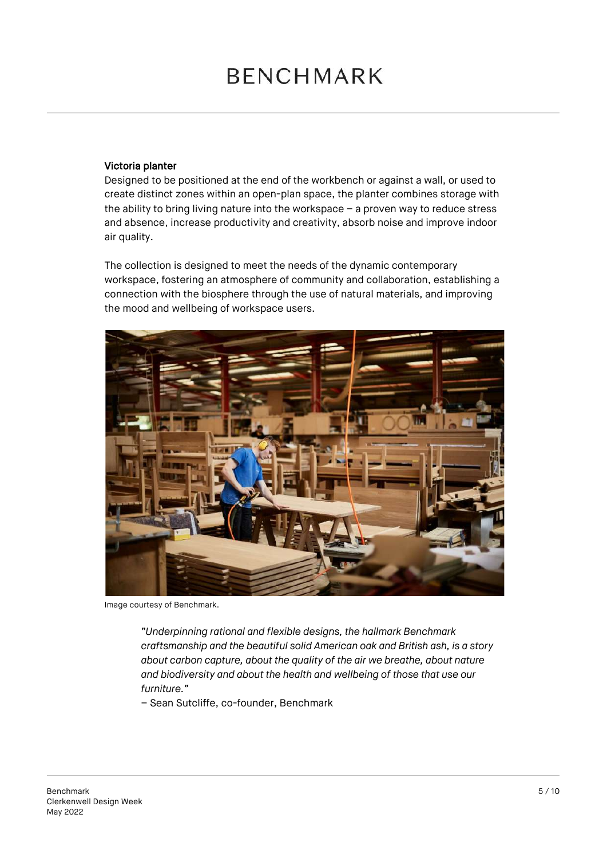#### Victoria planter

Designed to be positioned at the end of the workbench or against a wall, or used to create distinct zones within an open-plan space, the planter combines storage with the ability to bring living nature into the workspace – a proven way to reduce stress and absence, increase productivity and creativity, absorb noise and improve indoor air quality.

The collection is designed to meet the needs of the dynamic contemporary workspace, fostering an atmosphere of community and collaboration, establishing a connection with the biosphere through the use of natural materials, and improving the mood and wellbeing of workspace users.



Image courtesy of Benchmark.

*"Underpinning rational and flexible designs, the hallmark Benchmark craftsmanship and the beautiful solid American oak and British ash, is a story about carbon capture, about the quality of the air we breathe, about nature and biodiversity and about the health and wellbeing of those that use our furniture."*

– Sean Sutcliffe, co-founder, Benchmark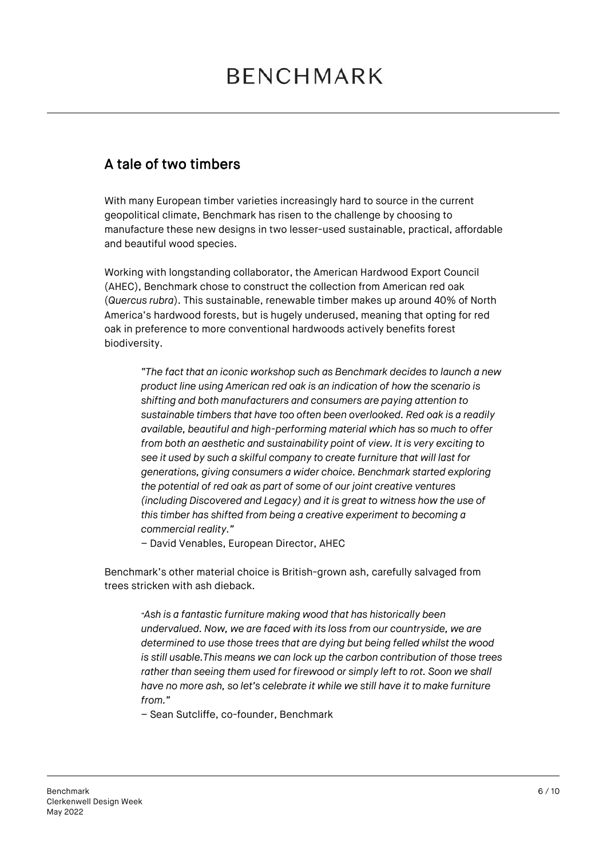### A tale of two timbers

With many European timber varieties increasingly hard to source in the current geopolitical climate, Benchmark has risen to the challenge by choosing to manufacture these new designs in two lesser-used sustainable, practical, affordable and beautiful wood species.

Working with longstanding collaborator, the American Hardwood Export Council (AHEC), Benchmark chose to construct the collection from American red oak (*Quercus rubra*). This sustainable, renewable timber makes up around 40% of North America's hardwood forests, but is hugely underused, meaning that opting for red oak in preference to more conventional hardwoods actively benefits forest biodiversity.

*"The fact that an iconic workshop such as Benchmark decides to launch a new product line using American red oak is an indication of how the scenario is shifting and both manufacturers and consumers are paying attention to sustainable timbers that have too often been overlooked. Red oak is a readily available, beautiful and high-performing material which has so much to offer from both an aesthetic and sustainability point of view. It is very exciting to see it used by such a skilful company to create furniture that will last for generations, giving consumers a wider choice. Benchmark started exploring the potential of red oak as part of some of our joint creative ventures (including Discovered and Legacy) and it is great to witness how the use of this timber has shifted from being a creative experiment to becoming a commercial reality."*

– David Venables, European Director, AHEC

Benchmark's other material choice is British-grown ash, carefully salvaged from trees stricken with ash dieback.

*"Ash is a fantastic furniture making wood that has historically been undervalued. Now, we are faced with its loss from our countryside, we are determined to use those trees that are dying but being felled whilst the wood is still usable.This means we can lock up the carbon contribution of those trees*  rather than seeing them used for firewood or simply left to rot. Soon we shall *have no more ash, so let's celebrate it while we still have it to make furniture from."*

– Sean Sutcliffe, co-founder, Benchmark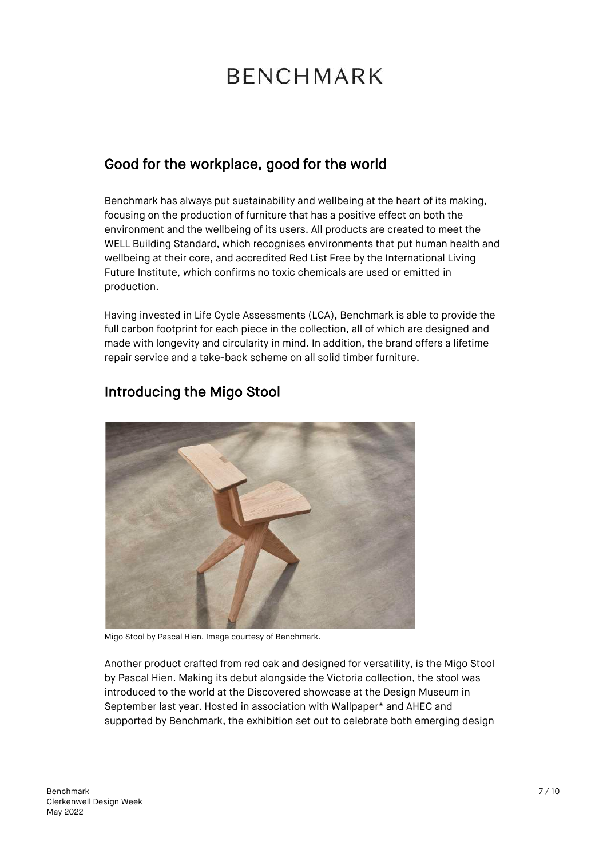### Good for the workplace, good for the world

Benchmark has always put sustainability and wellbeing at the heart of its making, focusing on the production of furniture that has a positive effect on both the environment and the wellbeing of its users. All products are created to meet the WELL Building Standard, which recognises environments that put human health and wellbeing at their core, and accredited Red List Free by the International Living Future Institute, which confirms no toxic chemicals are used or emitted in production.

Having invested in Life Cycle Assessments (LCA), Benchmark is able to provide the full carbon footprint for each piece in the collection, all of which are designed and made with longevity and circularity in mind. In addition, the brand offers a lifetime repair service and a take-back scheme on all solid timber furniture.



### Introducing the Migo Stool

Migo Stool by Pascal Hien. Image courtesy of Benchmark.

Another product crafted from red oak and designed for versatility, is the Migo Stool by Pascal Hien. Making its debut alongside the Victoria collection, the stool was introduced to the world at the Discovered showcase at the Design Museum in September last year. Hosted in association with Wallpaper\* and AHEC and supported by Benchmark, the exhibition set out to celebrate both emerging design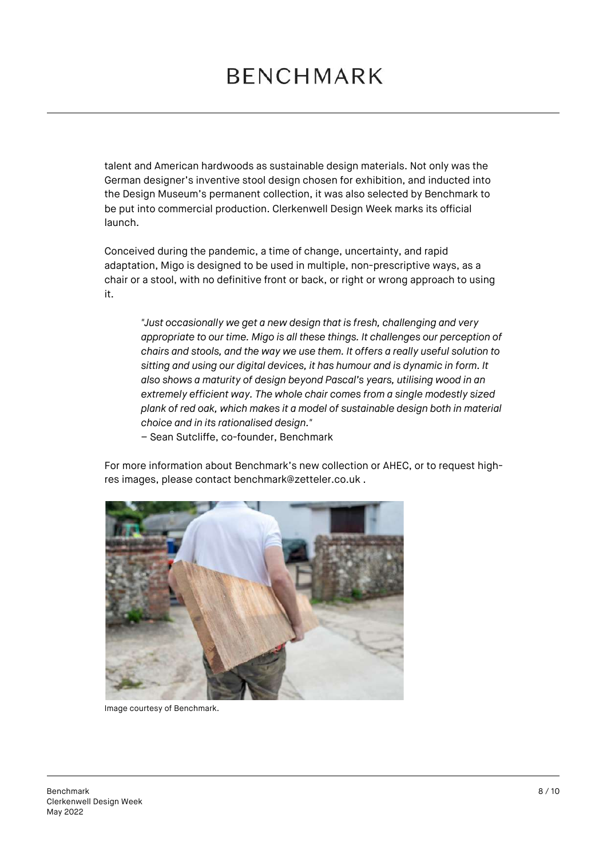talent and American hardwoods as sustainable design materials. Not only was the German designer's inventive stool design chosen for exhibition, and inducted into the Design Museum's permanent collection, it was also selected by Benchmark to be put into commercial production. Clerkenwell Design Week marks its official launch.

Conceived during the pandemic, a time of change, uncertainty, and rapid adaptation, Migo is designed to be used in multiple, non-prescriptive ways, as a chair or a stool, with no definitive front or back, or right or wrong approach to using it.

*"Just occasionally we get a new design that is fresh, challenging and very appropriate to our time. Migo is all these things. It challenges our perception of chairs and stools, and the way we use them. It offers a really useful solution to sitting and using our digital devices, it has humour and is dynamic in form. It also shows a maturity of design beyond Pascal's years, utilising wood in an extremely efficient way. The whole chair comes from a single modestly sized plank of red oak, which makes it a model of sustainable design both in material choice and in its rationalised design."* 

– Sean Sutcliffe, co-founder, Benchmark

For more information about Benchmark's new collection or AHEC, or to request highres images, please contact benchmark@zetteler.co.uk .



Image courtesy of Benchmark.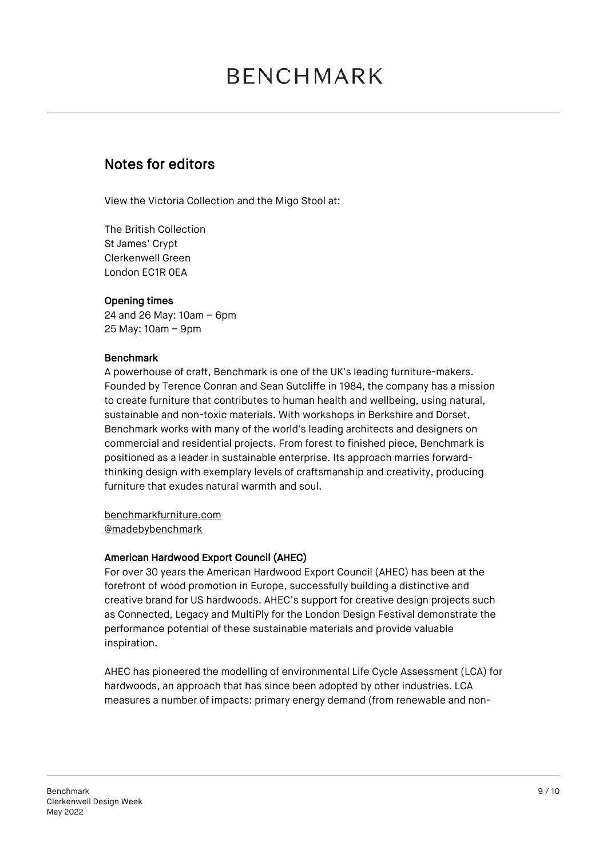### Notes for editors

View the Victoria Collection and the Migo Stool at:

The British Collection St James' Crypt Clerkenwell Green London EC1R 0EA

### Opening times

24 and 26 May: 10am – 6pm 25 May: 10am – 9pm

### Benchmark

A powerhouse of craft, Benchmark is one of the UK's leading furniture-makers. Founded by Terence Conran and Sean Sutcliffe in 1984, the company has a mission to create furniture that contributes to human health and wellbeing, using natural, sustainable and non-toxic materials. With workshops in Berkshire and Dorset, Benchmark works with many of the world's leading architects and designers on commercial and residential projects. From forest to finished piece, Benchmark is positioned as a leader in sustainable enterprise. Its approach marries forwardthinking design with exemplary levels of craftsmanship and creativity, producing furniture that exudes natural warmth and soul.

benchmarkfurniture.com @madebybenchmark

#### American Hardwood Export Council (AHEC)

For over 30 years the American Hardwood Export Council (AHEC) has been at the forefront of wood promotion in Europe, successfully building a distinctive and creative brand for US hardwoods. AHEC's support for creative design projects such as Connected, Legacy and MultiPly for the London Design Festival demonstrate the performance potential of these sustainable materials and provide valuable inspiration.

AHEC has pioneered the modelling of environmental Life Cycle Assessment (LCA) for hardwoods, an approach that has since been adopted by other industries. LCA measures a number of impacts: primary energy demand (from renewable and non-